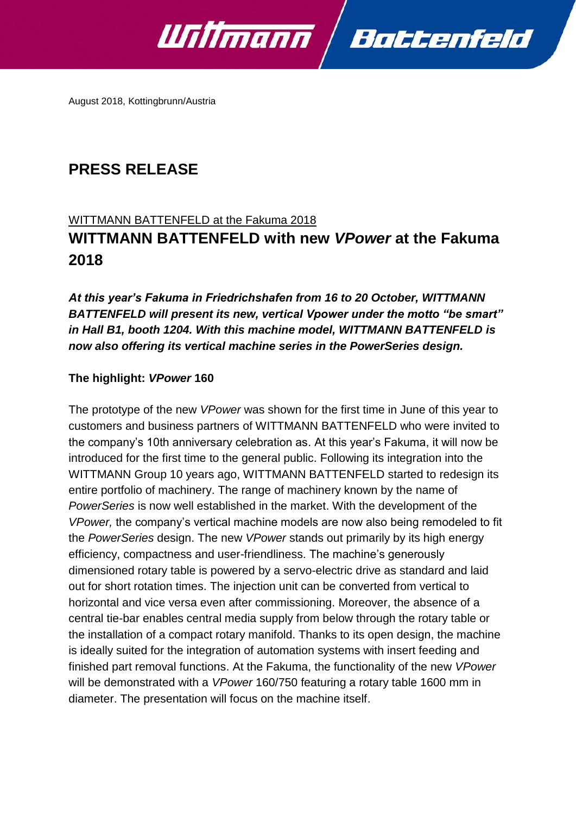

August 2018, Kottingbrunn/Austria

# **PRESS RELEASE**

## WITTMANN BATTENFELD at the Fakuma 2018

# **WITTMANN BATTENFELD with new** *VPower* **at the Fakuma 2018**

*At this year's Fakuma in Friedrichshafen from 16 to 20 October, WITTMANN BATTENFELD will present its new, vertical Vpower under the motto "be smart" in Hall B1, booth 1204. With this machine model, WITTMANN BATTENFELD is now also offering its vertical machine series in the PowerSeries design.* 

# **The highlight:** *VPower* **160**

The prototype of the new *VPower* was shown for the first time in June of this year to customers and business partners of WITTMANN BATTENFELD who were invited to the company's 10th anniversary celebration as. At this year's Fakuma, it will now be introduced for the first time to the general public. Following its integration into the WITTMANN Group 10 years ago, WITTMANN BATTENFELD started to redesign its entire portfolio of machinery. The range of machinery known by the name of *PowerSeries* is now well established in the market. With the development of the *VPower,* the company's vertical machine models are now also being remodeled to fit the *PowerSeries* design. The new *VPower* stands out primarily by its high energy efficiency, compactness and user-friendliness. The machine's generously dimensioned rotary table is powered by a servo-electric drive as standard and laid out for short rotation times. The injection unit can be converted from vertical to horizontal and vice versa even after commissioning. Moreover, the absence of a central tie-bar enables central media supply from below through the rotary table or the installation of a compact rotary manifold. Thanks to its open design, the machine is ideally suited for the integration of automation systems with insert feeding and finished part removal functions. At the Fakuma, the functionality of the new *VPower* will be demonstrated with a *VPower* 160/750 featuring a rotary table 1600 mm in diameter. The presentation will focus on the machine itself.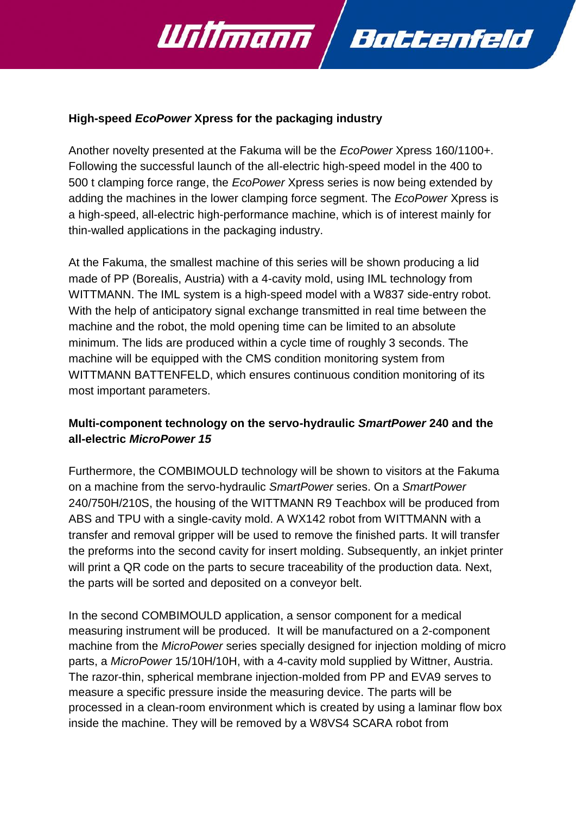

## **High-speed** *EcoPower* **Xpress for the packaging industry**

Another novelty presented at the Fakuma will be the *EcoPower* Xpress 160/1100+. Following the successful launch of the all-electric high-speed model in the 400 to 500 t clamping force range, the *EcoPower* Xpress series is now being extended by adding the machines in the lower clamping force segment. The *EcoPower* Xpress is a high-speed, all-electric high-performance machine, which is of interest mainly for thin-walled applications in the packaging industry.

At the Fakuma, the smallest machine of this series will be shown producing a lid made of PP (Borealis, Austria) with a 4-cavity mold, using IML technology from WITTMANN. The IML system is a high-speed model with a W837 side-entry robot. With the help of anticipatory signal exchange transmitted in real time between the machine and the robot, the mold opening time can be limited to an absolute minimum. The lids are produced within a cycle time of roughly 3 seconds. The machine will be equipped with the CMS condition monitoring system from WITTMANN BATTENFELD, which ensures continuous condition monitoring of its most important parameters.

# **Multi-component technology on the servo-hydraulic** *SmartPower* **240 and the all-electric** *MicroPower 15*

Furthermore, the COMBIMOULD technology will be shown to visitors at the Fakuma on a machine from the servo-hydraulic *SmartPower* series. On a *SmartPower*  240/750H/210S, the housing of the WITTMANN R9 Teachbox will be produced from ABS and TPU with a single-cavity mold. A WX142 robot from WITTMANN with a transfer and removal gripper will be used to remove the finished parts. It will transfer the preforms into the second cavity for insert molding. Subsequently, an inkjet printer will print a QR code on the parts to secure traceability of the production data. Next, the parts will be sorted and deposited on a conveyor belt.

In the second COMBIMOULD application, a sensor component for a medical measuring instrument will be produced. It will be manufactured on a 2-component machine from the *MicroPower* series specially designed for injection molding of micro parts, a *MicroPower* 15/10H/10H, with a 4-cavity mold supplied by Wittner, Austria. The razor-thin, spherical membrane injection-molded from PP and EVA9 serves to measure a specific pressure inside the measuring device. The parts will be processed in a clean-room environment which is created by using a laminar flow box inside the machine. They will be removed by a W8VS4 SCARA robot from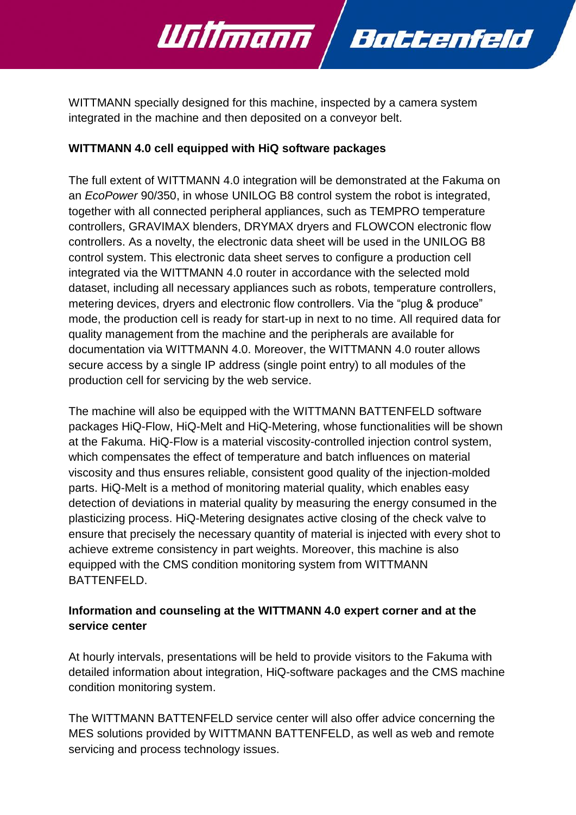

Battenfeld

## **WITTMANN 4.0 cell equipped with HiQ software packages**

Willmann

The full extent of WITTMANN 4.0 integration will be demonstrated at the Fakuma on an *EcoPower* 90/350, in whose UNILOG B8 control system the robot is integrated, together with all connected peripheral appliances, such as TEMPRO temperature controllers, GRAVIMAX blenders, DRYMAX dryers and FLOWCON electronic flow controllers. As a novelty, the electronic data sheet will be used in the UNILOG B8 control system. This electronic data sheet serves to configure a production cell integrated via the WITTMANN 4.0 router in accordance with the selected mold dataset, including all necessary appliances such as robots, temperature controllers, metering devices, dryers and electronic flow controllers. Via the "plug & produce" mode, the production cell is ready for start-up in next to no time. All required data for quality management from the machine and the peripherals are available for documentation via WITTMANN 4.0. Moreover, the WITTMANN 4.0 router allows secure access by a single IP address (single point entry) to all modules of the production cell for servicing by the web service.

The machine will also be equipped with the WITTMANN BATTENFELD software packages HiQ-Flow, HiQ-Melt and HiQ-Metering, whose functionalities will be shown at the Fakuma. HiQ-Flow is a material viscosity-controlled injection control system, which compensates the effect of temperature and batch influences on material viscosity and thus ensures reliable, consistent good quality of the injection-molded parts. HiQ-Melt is a method of monitoring material quality, which enables easy detection of deviations in material quality by measuring the energy consumed in the plasticizing process. HiQ-Metering designates active closing of the check valve to ensure that precisely the necessary quantity of material is injected with every shot to achieve extreme consistency in part weights. Moreover, this machine is also equipped with the CMS condition monitoring system from WITTMANN BATTENFELD.

# **Information and counseling at the WITTMANN 4.0 expert corner and at the service center**

At hourly intervals, presentations will be held to provide visitors to the Fakuma with detailed information about integration, HiQ-software packages and the CMS machine condition monitoring system.

The WITTMANN BATTENFELD service center will also offer advice concerning the MES solutions provided by WITTMANN BATTENFELD, as well as web and remote servicing and process technology issues.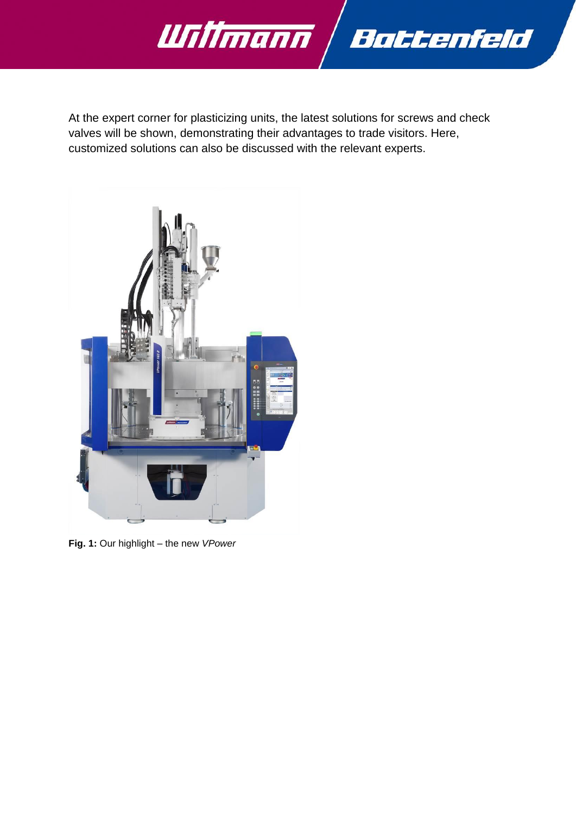

At the expert corner for plasticizing units, the latest solutions for screws and check valves will be shown, demonstrating their advantages to trade visitors. Here, customized solutions can also be discussed with the relevant experts.



**Fig. 1:** Our highlight – the new *VPower*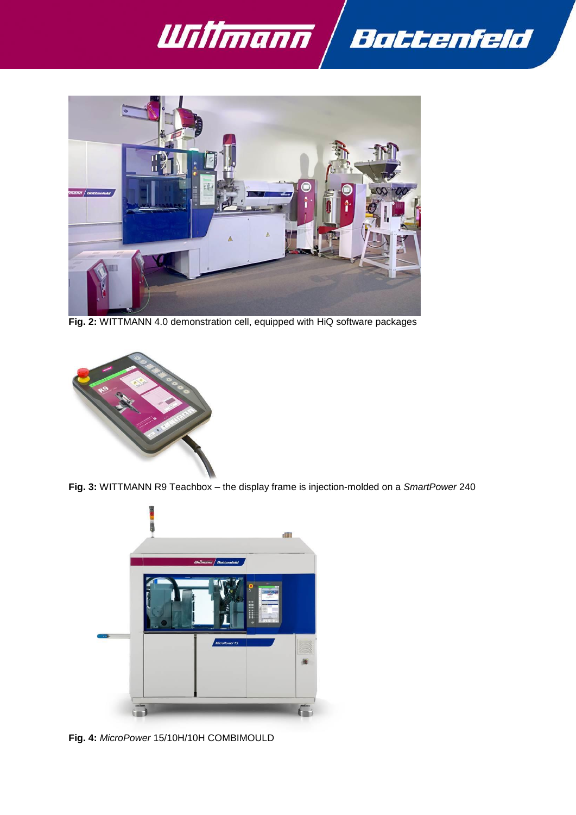



**Fig. 2:** WITTMANN 4.0 demonstration cell, equipped with HiQ software packages



**Fig. 3:** WITTMANN R9 Teachbox – the display frame is injection-molded on a *SmartPower* 240



**Fig. 4:** *MicroPower* 15/10H/10H COMBIMOULD